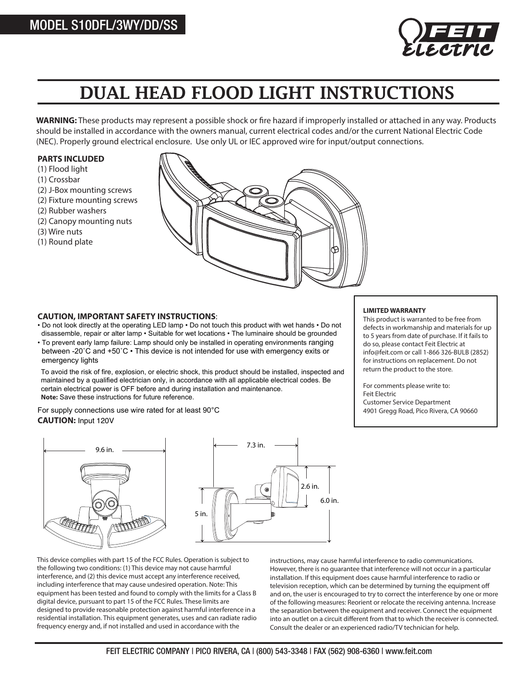

# DUAL HEAD FLOOD LIGHT INSTRUCTIONS

WARNING: These products may represent a possible shock or fire hazard if improperly installed or attached in any way. Products should be installed in accordance with the owners manual, current electrical codes and/or the current National Electric Code (NEC). Properly ground electrical enclosure. Use only UL or IEC approved wire for input/output connections.

#### **PARTS INCLUDED**

- (1) Flood light
- (1) Crossbar
- (2) J-Box mounting screws
- (2) Fixture mounting screws
- (2) Rubber washers
- (2) Canopy mounting nuts
- (3) Wire nuts
- (1) Round plate



#### **CAUTION, IMPORTANT SAFETY INSTRUCTIONS**:

- Do not look directly at the operating LED lamp Do not touch this product with wet hands Do not disassemble, repair or alter lamp • Suitable for wet locations • The luminaire should be grounded
- To prevent early lamp failure: Lamp should only be installed in operating environments ranging between -20˚C and +50˚C • This device is not intended for use with emergency exits or emergency lights

To avoid the risk of fire, explosion, or electric shock, this product should be installed, inspected and maintained by a qualified electrician only, in accordance with all applicable electrical codes. Be certain electrical power is OFF before and during installation and maintenance. **Note:** Save these instructions for future reference.

For supply connections use wire rated for at least 90°C **CAUTION:** Input 120V



This device complies with part 15 of the FCC Rules. Operation is subject to the following two conditions: (1) This device may not cause harmful interference, and (2) this device must accept any interference received, including interference that may cause undesired operation. Note: This equipment has been tested and found to comply with the limits for a Class B digital device, pursuant to part 15 of the FCC Rules. These limits are designed to provide reasonable protection against harmful interference in a residential installation. This equipment generates, uses and can radiate radio frequency energy and, if not installed and used in accordance with the

instructions, may cause harmful interference to radio communications. However, there is no guarantee that interference will not occur in a particular installation. If this equipment does cause harmful interference to radio or television reception, which can be determined by turning the equipment off and on, the user is encouraged to try to correct the interference by one or more of the following measures: Reorient or relocate the receiving antenna. Increase the separation between the equipment and receiver. Connect the equipment into an outlet on a circuit different from that to which the receiver is connected. Consult the dealer or an experienced radio/TV technician for help.

#### **LIMITED WARRANTY**

This product is warranted to be free from defects in workmanship and materials for up to 5 years from date of purchase. If it fails to do so, please contact Feit Electric at info@feit.com or call 1-866 326-BULB (2852) for instructions on replacement. Do not return the product to the store.

For comments please write to: Feit Electric Customer Service Department 4901 Gregg Road, Pico Rivera, CA 90660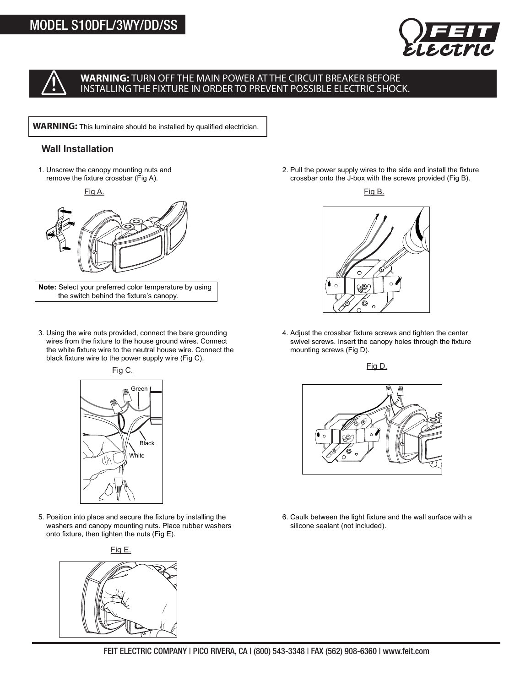

## **WARNING:** TURN OFF THE MAIN POWER AT THE CIRCUIT BREAKER BEFORE INSTALLING THE FIXTURE IN ORDER TO PREVENT POSSIBLE ELECTRIC SHOCK.

**WARNING:** This luminaire should be installed by qualified electrician.

## **Wall Installation**

1. Unscrew the canopy mounting nuts and remove the fixture crossbar (Fig A).



**Note:** Select your preferred color temperature by using the switch behind the fixture's canopy.

3. Using the wire nuts provided, connect the bare grounding wires from the fixture to the house ground wires. Connect the white fixture wire to the neutral house wire. Connect the black fixture wire to the power supply wire (Fig C).



5. Position into place and secure the fixture by installing the washers and canopy mounting nuts. Place rubber washers onto fixture, then tighten the nuts (Fig E).



2. Pull the power supply wires to the side and install the fixture crossbar onto the J-box with the screws provided (Fig B).





4. Adjust the crossbar fixture screws and tighten the center swivel screws. Insert the canopy holes through the fixture mounting screws (Fig D).

Fig D.



6. Caulk between the light fixture and the wall surface with a silicone sealant (not included).